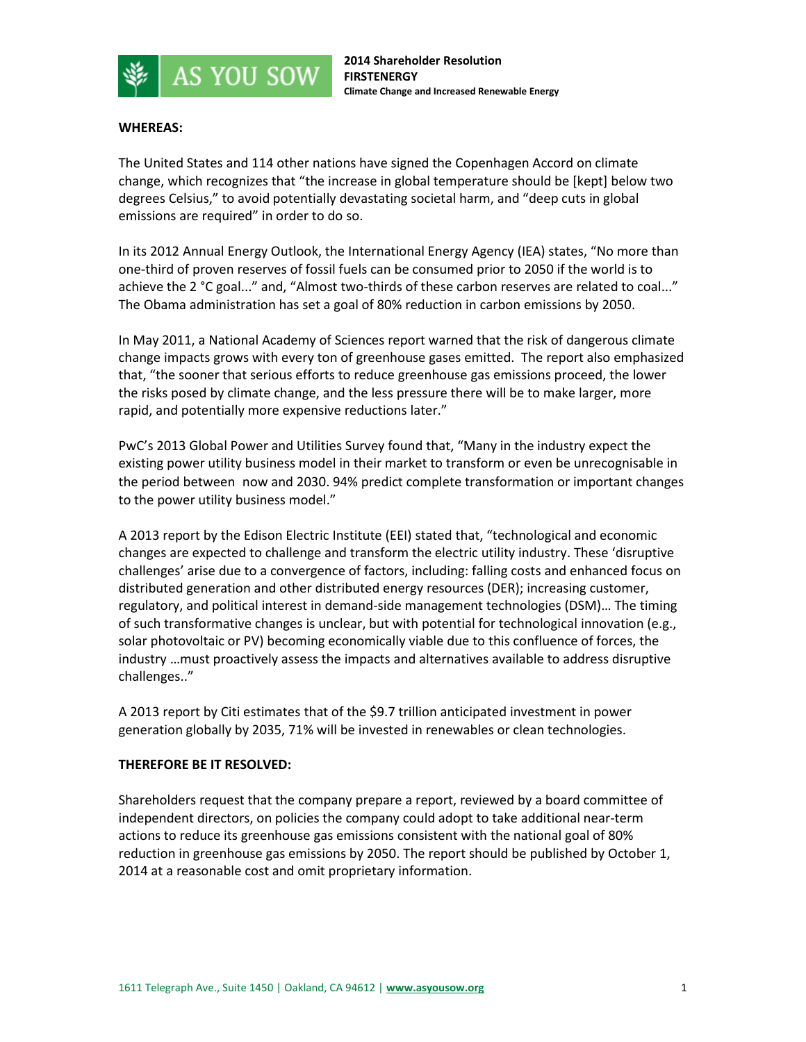

## **WHEREAS:**

The United States and 114 other nations have signed the Copenhagen Accord on climate change, which recognizes that "the increase in global temperature should be [kept] below two degrees Celsius," to avoid potentially devastating societal harm, and "deep cuts in global emissions are required" in order to do so.

In its 2012 Annual Energy Outlook, the International Energy Agency (IEA) states, "No more than one-third of proven reserves of fossil fuels can be consumed prior to 2050 if the world is to achieve the 2 °C goal..." and, "Almost two-thirds of these carbon reserves are related to coal..." The Obama administration has set a goal of 80% reduction in carbon emissions by 2050.

In May 2011, a National Academy of Sciences report warned that the risk of dangerous climate change impacts grows with every ton of greenhouse gases emitted. The report also emphasized that, "the sooner that serious efforts to reduce greenhouse gas emissions proceed, the lower the risks posed by climate change, and the less pressure there will be to make larger, more rapid, and potentially more expensive reductions later."

PwC's 2013 Global Power and Utilities Survey found that, "Many in the industry expect the existing power utility business model in their market to transform or even be unrecognisable in the period between now and 2030. 94% predict complete transformation or important changes to the power utility business model."

A 2013 report by the Edison Electric Institute (EEI) stated that, "technological and economic changes are expected to challenge and transform the electric utility industry. These 'disruptive challenges' arise due to a convergence of factors, including: falling costs and enhanced focus on distributed generation and other distributed energy resources (DER); increasing customer, regulatory, and political interest in demand-side management technologies (DSM)… The timing of such transformative changes is unclear, but with potential for technological innovation (e.g., solar photovoltaic or PV) becoming economically viable due to this confluence of forces, the industry …must proactively assess the impacts and alternatives available to address disruptive challenges.."

A 2013 report by Citi estimates that of the \$9.7 trillion anticipated investment in power generation globally by 2035, 71% will be invested in renewables or clean technologies.

## **THEREFORE BE IT RESOLVED:**

Shareholders request that the company prepare a report, reviewed by a board committee of independent directors, on policies the company could adopt to take additional near-term actions to reduce its greenhouse gas emissions consistent with the national goal of 80% reduction in greenhouse gas emissions by 2050. The report should be published by October 1, 2014 at a reasonable cost and omit proprietary information.